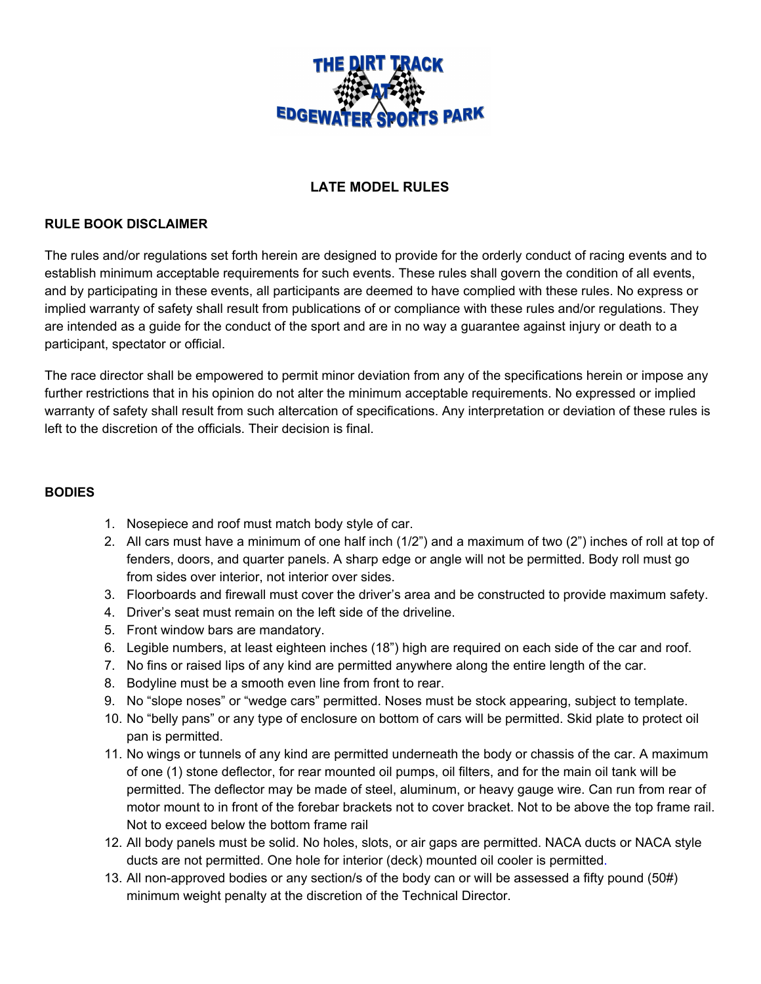

# **LATE MODEL RULES**

#### **RULE BOOK DISCLAIMER**

The rules and/or regulations set forth herein are designed to provide for the orderly conduct of racing events and to establish minimum acceptable requirements for such events. These rules shall govern the condition of all events, and by participating in these events, all participants are deemed to have complied with these rules. No express or implied warranty of safety shall result from publications of or compliance with these rules and/or regulations. They are intended as a guide for the conduct of the sport and are in no way a guarantee against injury or death to a participant, spectator or official.

The race director shall be empowered to permit minor deviation from any of the specifications herein or impose any further restrictions that in his opinion do not alter the minimum acceptable requirements. No expressed or implied warranty of safety shall result from such altercation of specifications. Any interpretation or deviation of these rules is left to the discretion of the officials. Their decision is final.

#### **BODIES**

- 1. Nosepiece and roof must match body style of car.
- 2. All cars must have a minimum of one half inch (1/2") and a maximum of two (2") inches of roll at top of fenders, doors, and quarter panels. A sharp edge or angle will not be permitted. Body roll must go from sides over interior, not interior over sides.
- 3. Floorboards and firewall must cover the driver's area and be constructed to provide maximum safety.
- 4. Driver's seat must remain on the left side of the driveline.
- 5. Front window bars are mandatory.
- 6. Legible numbers, at least eighteen inches (18") high are required on each side of the car and roof.
- 7. No fins or raised lips of any kind are permitted anywhere along the entire length of the car.
- 8. Bodyline must be a smooth even line from front to rear.
- 9. No "slope noses" or "wedge cars" permitted. Noses must be stock appearing, subject to template.
- 10. No "belly pans" or any type of enclosure on bottom of cars will be permitted. Skid plate to protect oil pan is permitted.
- 11. No wings or tunnels of any kind are permitted underneath the body or chassis of the car. A maximum of one (1) stone deflector, for rear mounted oil pumps, oil filters, and for the main oil tank will be permitted. The deflector may be made of steel, aluminum, or heavy gauge wire. Can run from rear of motor mount to in front of the forebar brackets not to cover bracket. Not to be above the top frame rail. Not to exceed below the bottom frame rail
- 12. All body panels must be solid. No holes, slots, or air gaps are permitted. NACA ducts or NACA style ducts are not permitted. One hole for interior (deck) mounted oil cooler is permitted.
- 13. All non-approved bodies or any section/s of the body can or will be assessed a fifty pound (50#) minimum weight penalty at the discretion of the Technical Director.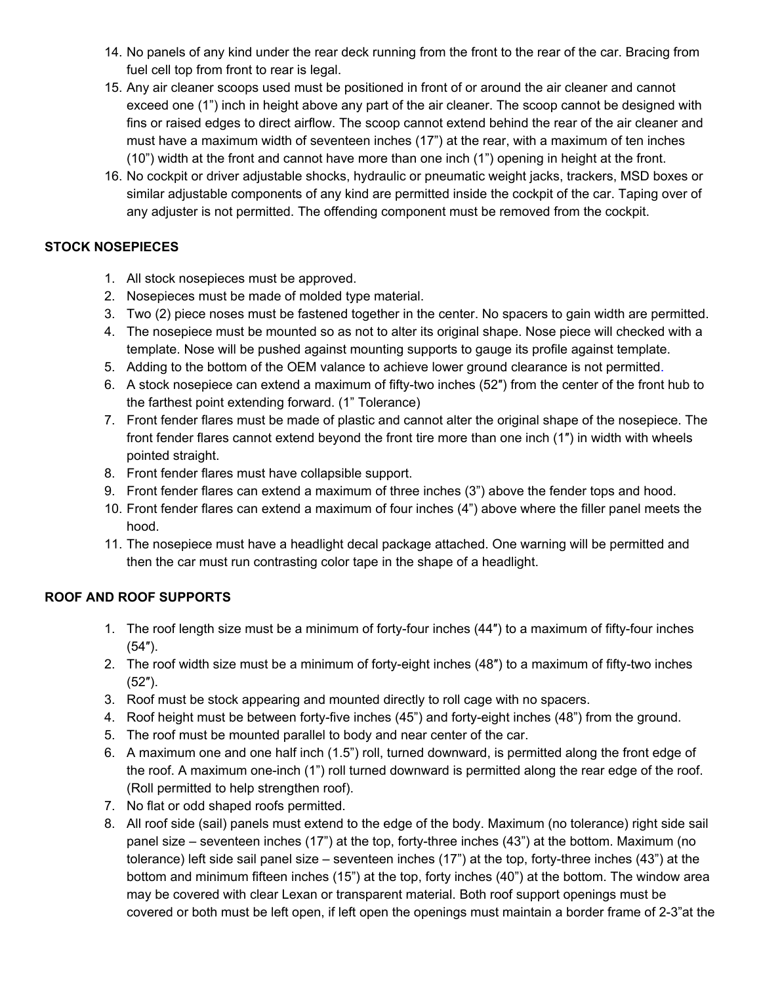- 14. No panels of any kind under the rear deck running from the front to the rear of the car. Bracing from fuel cell top from front to rear is legal.
- 15. Any air cleaner scoops used must be positioned in front of or around the air cleaner and cannot exceed one (1") inch in height above any part of the air cleaner. The scoop cannot be designed with fins or raised edges to direct airflow. The scoop cannot extend behind the rear of the air cleaner and must have a maximum width of seventeen inches (17") at the rear, with a maximum of ten inches (10") width at the front and cannot have more than one inch (1") opening in height at the front.
- 16. No cockpit or driver adjustable shocks, hydraulic or pneumatic weight jacks, trackers, MSD boxes or similar adjustable components of any kind are permitted inside the cockpit of the car. Taping over of any adjuster is not permitted. The offending component must be removed from the cockpit.

## **STOCK NOSEPIECES**

- 1. All stock nosepieces must be approved.
- 2. Nosepieces must be made of molded type material.
- 3. Two (2) piece noses must be fastened together in the center. No spacers to gain width are permitted.
- 4. The nosepiece must be mounted so as not to alter its original shape. Nose piece will checked with a template. Nose will be pushed against mounting supports to gauge its profile against template.
- 5. Adding to the bottom of the OEM valance to achieve lower ground clearance is not permitted.
- 6. A stock nosepiece can extend a maximum of fifty-two inches (52″) from the center of the front hub to the farthest point extending forward. (1" Tolerance)
- 7. Front fender flares must be made of plastic and cannot alter the original shape of the nosepiece. The front fender flares cannot extend beyond the front tire more than one inch (1″) in width with wheels pointed straight.
- 8. Front fender flares must have collapsible support.
- 9. Front fender flares can extend a maximum of three inches (3") above the fender tops and hood.
- 10. Front fender flares can extend a maximum of four inches (4") above where the filler panel meets the hood.
- 11. The nosepiece must have a headlight decal package attached. One warning will be permitted and then the car must run contrasting color tape in the shape of a headlight.

# **ROOF AND ROOF SUPPORTS**

- 1. The roof length size must be a minimum of forty-four inches (44″) to a maximum of fifty-four inches (54″).
- 2. The roof width size must be a minimum of forty-eight inches (48″) to a maximum of fifty-two inches (52″).
- 3. Roof must be stock appearing and mounted directly to roll cage with no spacers.
- 4. Roof height must be between forty-five inches (45") and forty-eight inches (48") from the ground.
- 5. The roof must be mounted parallel to body and near center of the car.
- 6. A maximum one and one half inch (1.5") roll, turned downward, is permitted along the front edge of the roof. A maximum one-inch (1") roll turned downward is permitted along the rear edge of the roof. (Roll permitted to help strengthen roof).
- 7. No flat or odd shaped roofs permitted.
- 8. All roof side (sail) panels must extend to the edge of the body. Maximum (no tolerance) right side sail panel size – seventeen inches (17") at the top, forty-three inches (43") at the bottom. Maximum (no tolerance) left side sail panel size – seventeen inches (17") at the top, forty-three inches (43") at the bottom and minimum fifteen inches (15") at the top, forty inches (40") at the bottom. The window area may be covered with clear Lexan or transparent material. Both roof support openings must be covered or both must be left open, if left open the openings must maintain a border frame of 2-3"at the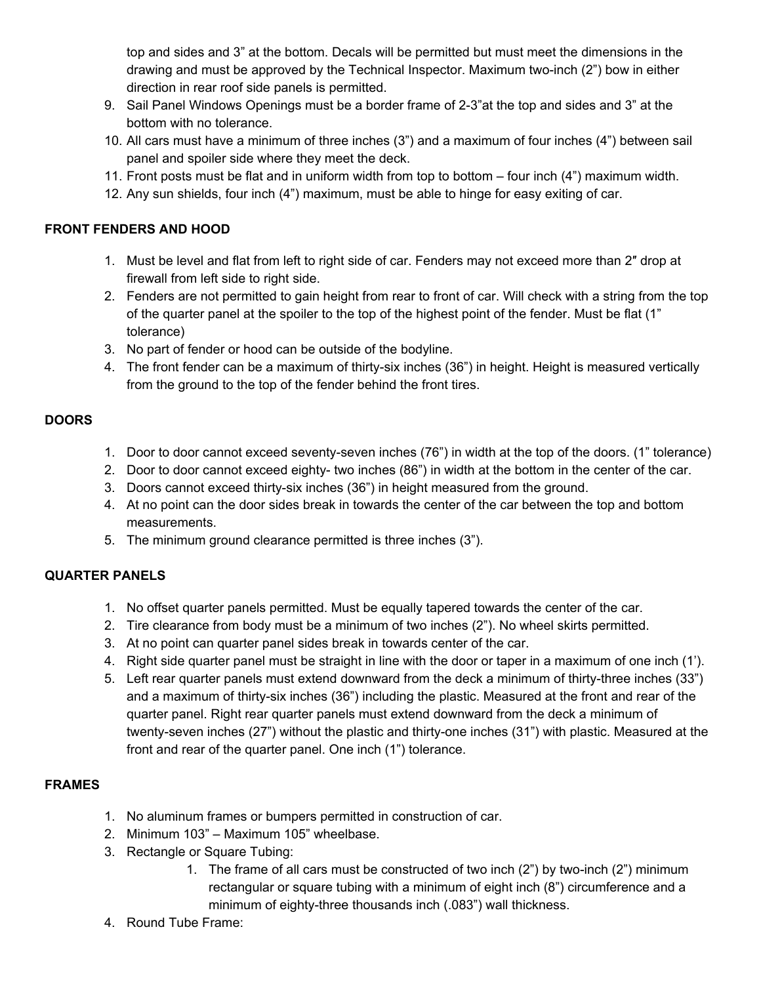top and sides and 3" at the bottom. Decals will be permitted but must meet the dimensions in the drawing and must be approved by the Technical Inspector. Maximum two-inch (2") bow in either direction in rear roof side panels is permitted.

- 9. Sail Panel Windows Openings must be a border frame of 2-3"at the top and sides and 3" at the bottom with no tolerance.
- 10. All cars must have a minimum of three inches (3") and a maximum of four inches (4") between sail panel and spoiler side where they meet the deck.
- 11. Front posts must be flat and in uniform width from top to bottom four inch (4") maximum width.
- 12. Any sun shields, four inch (4") maximum, must be able to hinge for easy exiting of car.

## **FRONT FENDERS AND HOOD**

- 1. Must be level and flat from left to right side of car. Fenders may not exceed more than 2″ drop at firewall from left side to right side.
- 2. Fenders are not permitted to gain height from rear to front of car. Will check with a string from the top of the quarter panel at the spoiler to the top of the highest point of the fender. Must be flat (1" tolerance)
- 3. No part of fender or hood can be outside of the bodyline.
- 4. The front fender can be a maximum of thirty-six inches (36") in height. Height is measured vertically from the ground to the top of the fender behind the front tires.

## **DOORS**

- 1. Door to door cannot exceed seventy-seven inches (76") in width at the top of the doors. (1" tolerance)
- 2. Door to door cannot exceed eighty- two inches (86") in width at the bottom in the center of the car.
- 3. Doors cannot exceed thirty-six inches (36") in height measured from the ground.
- 4. At no point can the door sides break in towards the center of the car between the top and bottom measurements.
- 5. The minimum ground clearance permitted is three inches (3").

# **QUARTER PANELS**

- 1. No offset quarter panels permitted. Must be equally tapered towards the center of the car.
- 2. Tire clearance from body must be a minimum of two inches (2"). No wheel skirts permitted.
- 3. At no point can quarter panel sides break in towards center of the car.
- 4. Right side quarter panel must be straight in line with the door or taper in a maximum of one inch (1').
- 5. Left rear quarter panels must extend downward from the deck a minimum of thirty-three inches (33") and a maximum of thirty-six inches (36") including the plastic. Measured at the front and rear of the quarter panel. Right rear quarter panels must extend downward from the deck a minimum of twenty-seven inches (27") without the plastic and thirty-one inches (31") with plastic. Measured at the front and rear of the quarter panel. One inch (1") tolerance.

# **FRAMES**

- 1. No aluminum frames or bumpers permitted in construction of car.
- 2. Minimum 103" Maximum 105" wheelbase.
- 3. Rectangle or Square Tubing:
	- 1. The frame of all cars must be constructed of two inch (2") by two-inch (2") minimum rectangular or square tubing with a minimum of eight inch (8") circumference and a minimum of eighty-three thousands inch (.083") wall thickness.
- 4. Round Tube Frame: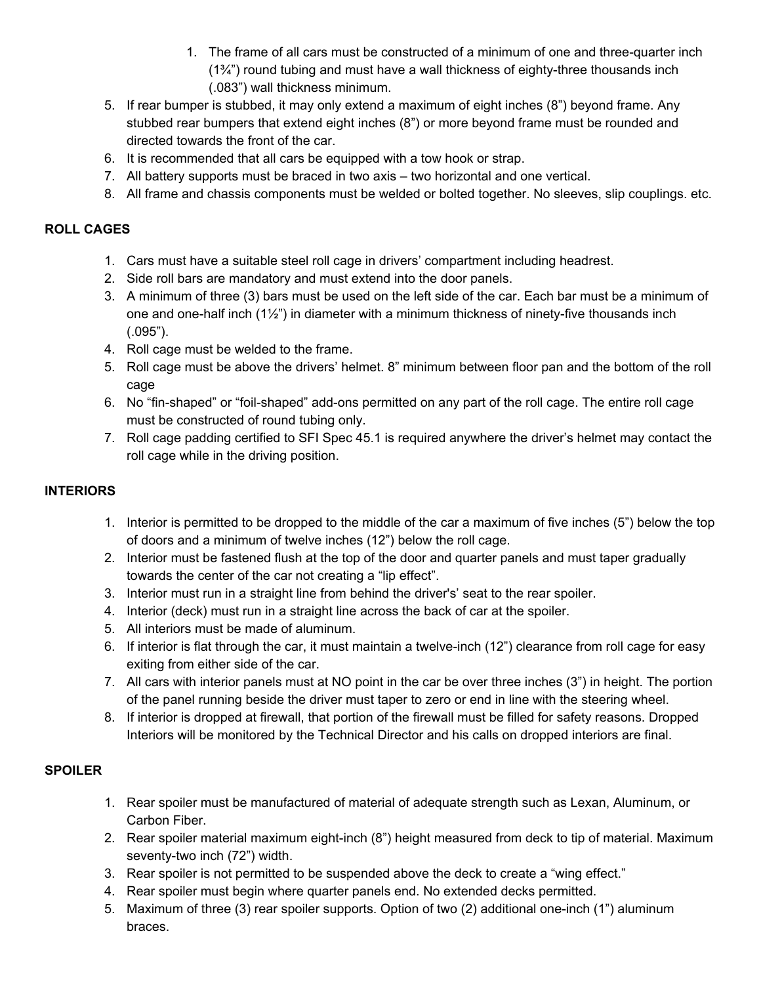- 1. The frame of all cars must be constructed of a minimum of one and three-quarter inch  $(1\frac{3}{4})$  round tubing and must have a wall thickness of eighty-three thousands inch (.083") wall thickness minimum.
- 5. If rear bumper is stubbed, it may only extend a maximum of eight inches (8") beyond frame. Any stubbed rear bumpers that extend eight inches (8") or more beyond frame must be rounded and directed towards the front of the car.
- 6. It is recommended that all cars be equipped with a tow hook or strap.
- 7. All battery supports must be braced in two axis two horizontal and one vertical.
- 8. All frame and chassis components must be welded or bolted together. No sleeves, slip couplings. etc.

# **ROLL CAGES**

- 1. Cars must have a suitable steel roll cage in drivers' compartment including headrest.
- 2. Side roll bars are mandatory and must extend into the door panels.
- 3. A minimum of three (3) bars must be used on the left side of the car. Each bar must be a minimum of one and one-half inch (1½") in diameter with a minimum thickness of ninety-five thousands inch (.095").
- 4. Roll cage must be welded to the frame.
- 5. Roll cage must be above the drivers' helmet. 8" minimum between floor pan and the bottom of the roll cage
- 6. No "fin-shaped" or "foil-shaped" add-ons permitted on any part of the roll cage. The entire roll cage must be constructed of round tubing only.
- 7. Roll cage padding certified to SFI Spec 45.1 is required anywhere the driver's helmet may contact the roll cage while in the driving position.

### **INTERIORS**

- 1. Interior is permitted to be dropped to the middle of the car a maximum of five inches (5") below the top of doors and a minimum of twelve inches (12") below the roll cage.
- 2. Interior must be fastened flush at the top of the door and quarter panels and must taper gradually towards the center of the car not creating a "lip effect".
- 3. Interior must run in a straight line from behind the driver's' seat to the rear spoiler.
- 4. Interior (deck) must run in a straight line across the back of car at the spoiler.
- 5. All interiors must be made of aluminum.
- 6. If interior is flat through the car, it must maintain a twelve-inch (12") clearance from roll cage for easy exiting from either side of the car.
- 7. All cars with interior panels must at NO point in the car be over three inches (3") in height. The portion of the panel running beside the driver must taper to zero or end in line with the steering wheel.
- 8. If interior is dropped at firewall, that portion of the firewall must be filled for safety reasons. Dropped Interiors will be monitored by the Technical Director and his calls on dropped interiors are final.

### **SPOILER**

- 1. Rear spoiler must be manufactured of material of adequate strength such as Lexan, Aluminum, or Carbon Fiber.
- 2. Rear spoiler material maximum eight-inch (8") height measured from deck to tip of material. Maximum seventy-two inch (72") width.
- 3. Rear spoiler is not permitted to be suspended above the deck to create a "wing effect."
- 4. Rear spoiler must begin where quarter panels end. No extended decks permitted.
- 5. Maximum of three (3) rear spoiler supports. Option of two (2) additional one-inch (1") aluminum braces.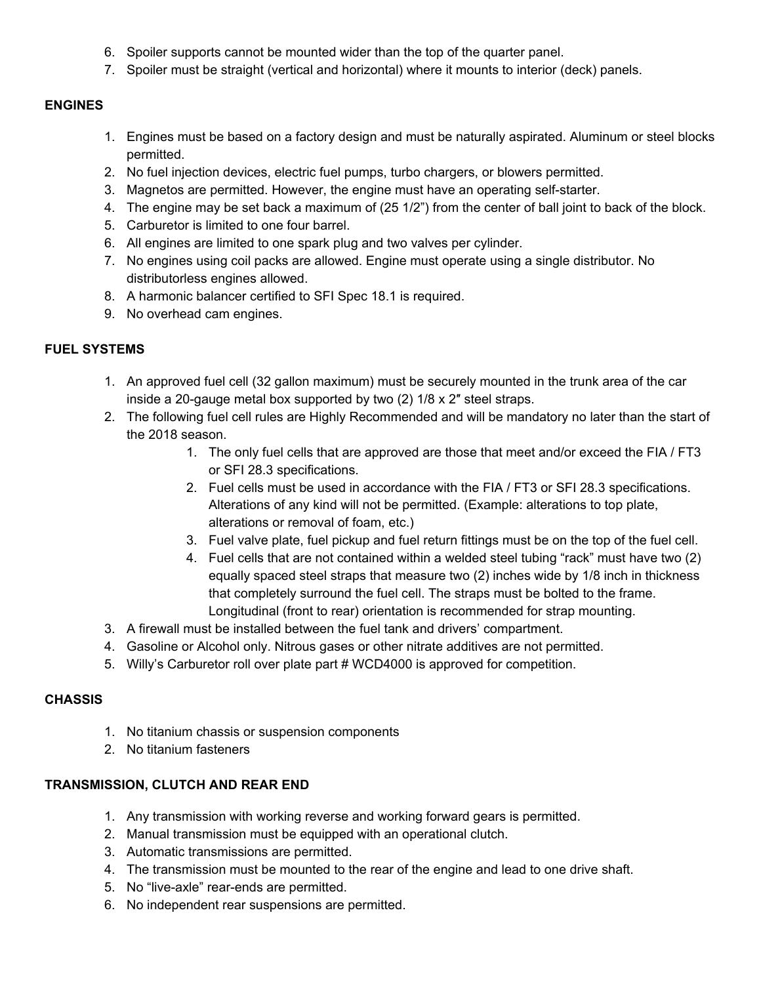- 6. Spoiler supports cannot be mounted wider than the top of the quarter panel.
- 7. Spoiler must be straight (vertical and horizontal) where it mounts to interior (deck) panels.

## **ENGINES**

- 1. Engines must be based on a factory design and must be naturally aspirated. Aluminum or steel blocks permitted.
- 2. No fuel injection devices, electric fuel pumps, turbo chargers, or blowers permitted.
- 3. Magnetos are permitted. However, the engine must have an operating self-starter.
- 4. The engine may be set back a maximum of (25 1/2") from the center of ball joint to back of the block.
- 5. Carburetor is limited to one four barrel.
- 6. All engines are limited to one spark plug and two valves per cylinder.
- 7. No engines using coil packs are allowed. Engine must operate using a single distributor. No distributorless engines allowed.
- 8. A harmonic balancer certified to SFI Spec 18.1 is required.
- 9. No overhead cam engines.

## **FUEL SYSTEMS**

- 1. An approved fuel cell (32 gallon maximum) must be securely mounted in the trunk area of the car inside a 20-gauge metal box supported by two (2) 1/8 x 2″ steel straps.
- 2. The following fuel cell rules are Highly Recommended and will be mandatory no later than the start of the 2018 season.
	- 1. The only fuel cells that are approved are those that meet and/or exceed the FIA / FT3 or SFI 28.3 specifications.
	- 2. Fuel cells must be used in accordance with the FIA / FT3 or SFI 28.3 specifications. Alterations of any kind will not be permitted. (Example: alterations to top plate, alterations or removal of foam, etc.)
	- 3. Fuel valve plate, fuel pickup and fuel return fittings must be on the top of the fuel cell.
	- 4. Fuel cells that are not contained within a welded steel tubing "rack" must have two (2) equally spaced steel straps that measure two (2) inches wide by 1/8 inch in thickness that completely surround the fuel cell. The straps must be bolted to the frame. Longitudinal (front to rear) orientation is recommended for strap mounting.
- 3. A firewall must be installed between the fuel tank and drivers' compartment.
- 4. Gasoline or Alcohol only. Nitrous gases or other nitrate additives are not permitted.
- 5. Willy's Carburetor roll over plate part # WCD4000 is approved for competition.

### **CHASSIS**

- 1. No titanium chassis or suspension components
- 2. No titanium fasteners

### **TRANSMISSION, CLUTCH AND REAR END**

- 1. Any transmission with working reverse and working forward gears is permitted.
- 2. Manual transmission must be equipped with an operational clutch.
- 3. Automatic transmissions are permitted.
- 4. The transmission must be mounted to the rear of the engine and lead to one drive shaft.
- 5. No "live-axle" rear-ends are permitted.
- 6. No independent rear suspensions are permitted.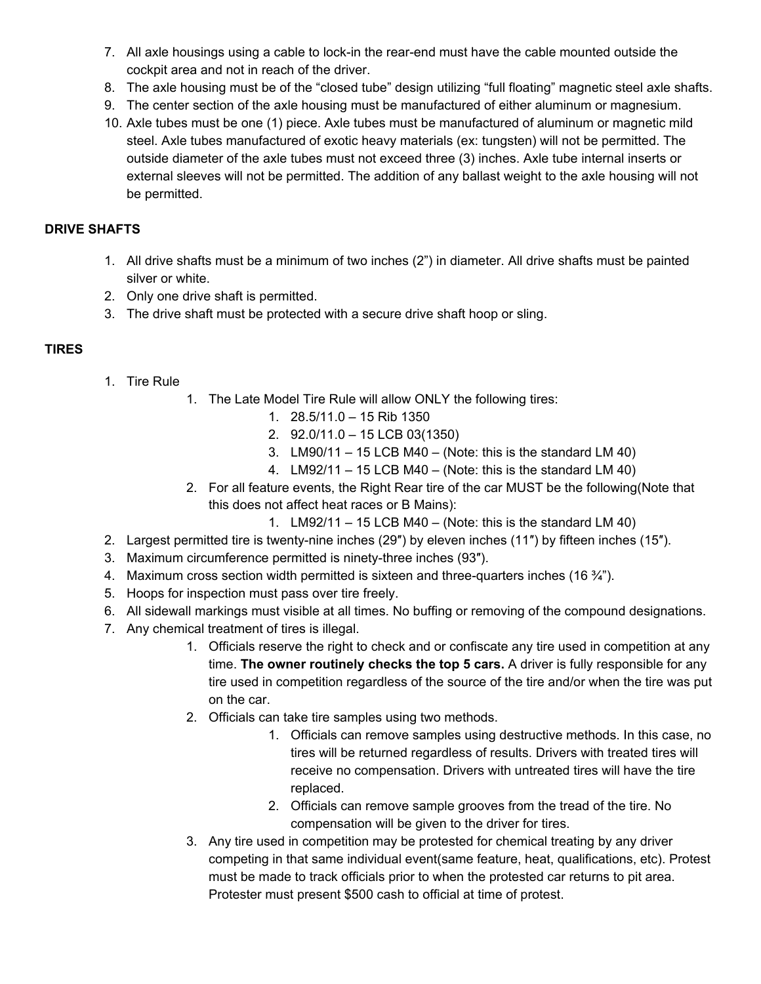- 7. All axle housings using a cable to lock-in the rear-end must have the cable mounted outside the cockpit area and not in reach of the driver.
- 8. The axle housing must be of the "closed tube" design utilizing "full floating" magnetic steel axle shafts.
- 9. The center section of the axle housing must be manufactured of either aluminum or magnesium.
- 10. Axle tubes must be one (1) piece. Axle tubes must be manufactured of aluminum or magnetic mild steel. Axle tubes manufactured of exotic heavy materials (ex: tungsten) will not be permitted. The outside diameter of the axle tubes must not exceed three (3) inches. Axle tube internal inserts or external sleeves will not be permitted. The addition of any ballast weight to the axle housing will not be permitted.

## **DRIVE SHAFTS**

- 1. All drive shafts must be a minimum of two inches (2") in diameter. All drive shafts must be painted silver or white.
- 2. Only one drive shaft is permitted.
- 3. The drive shaft must be protected with a secure drive shaft hoop or sling.

## **TIRES**

- 1. Tire Rule
	- 1. The Late Model Tire Rule will allow ONLY the following tires:
		- 1. 28.5/11.0 15 Rib 1350
		- 2. 92.0/11.0 15 LCB 03(1350)
		- 3. LM90/11 15 LCB M40 (Note: this is the standard LM 40)
		- 4. LM92/11 15 LCB M40 (Note: this is the standard LM 40)
	- 2. For all feature events, the Right Rear tire of the car MUST be the following(Note that this does not affect heat races or B Mains):
		- 1. LM92/11 15 LCB M40 (Note: this is the standard LM 40)
- 2. Largest permitted tire is twenty-nine inches (29″) by eleven inches (11″) by fifteen inches (15″).
- 3. Maximum circumference permitted is ninety-three inches (93″).
- 4. Maximum cross section width permitted is sixteen and three-quarters inches (16 $\frac{3}{4}$ ").
- 5. Hoops for inspection must pass over tire freely.
- 6. All sidewall markings must visible at all times. No buffing or removing of the compound designations.
- 7. Any chemical treatment of tires is illegal.
	- 1. Officials reserve the right to check and or confiscate any tire used in competition at any time. **The owner routinely checks the top 5 cars.** A driver is fully responsible for any tire used in competition regardless of the source of the tire and/or when the tire was put on the car.
	- 2. Officials can take tire samples using two methods.
		- 1. Officials can remove samples using destructive methods. In this case, no tires will be returned regardless of results. Drivers with treated tires will receive no compensation. Drivers with untreated tires will have the tire replaced.
		- 2. Officials can remove sample grooves from the tread of the tire. No compensation will be given to the driver for tires.
	- 3. Any tire used in competition may be protested for chemical treating by any driver competing in that same individual event(same feature, heat, qualifications, etc). Protest must be made to track officials prior to when the protested car returns to pit area. Protester must present \$500 cash to official at time of protest.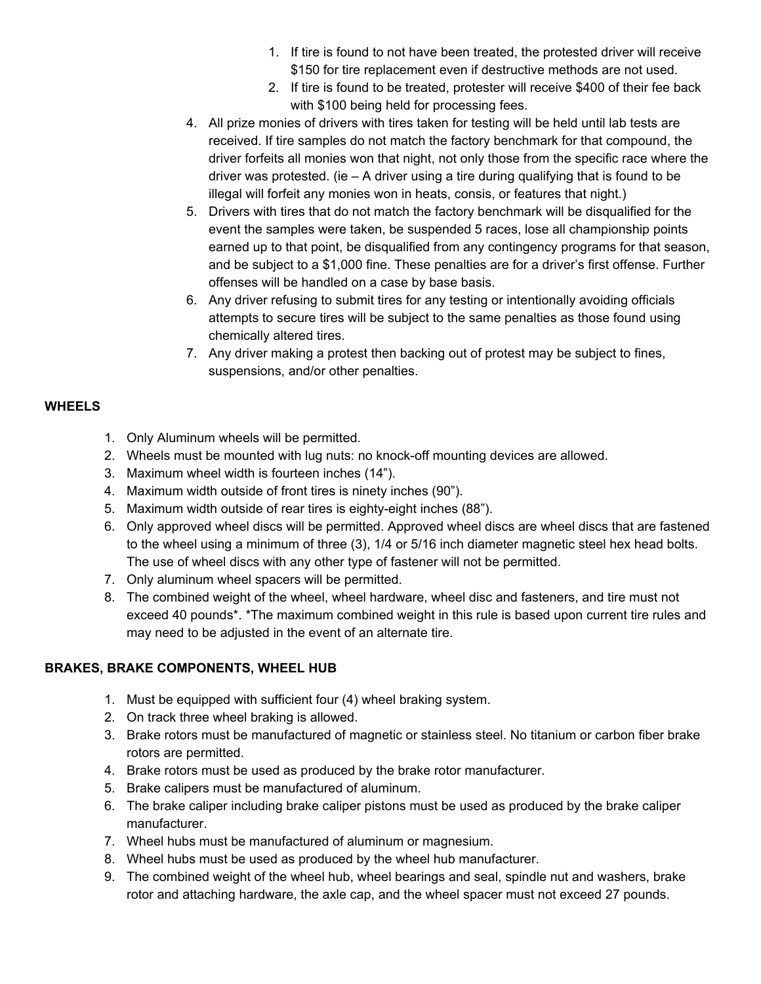- 1. If tire is found to not have been treated, the protested driver will receive \$150 for tire replacement even if destructive methods are not used.
- 2. If tire is found to be treated, protester will receive \$400 of their fee back with \$100 being held for processing fees.
- 4. All prize monies of drivers with tires taken for testing will be held until lab tests are received. If tire samples do not match the factory benchmark for that compound, the driver forfeits all monies won that night, not only those from the specific race where the driver was protested. (ie  $- A$  driver using a tire during qualifying that is found to be illegal will forfeit any monies won in heats, consis, or features that night.)
- 5. Drivers with tires that do not match the factory benchmark will be disqualified for the event the samples were taken, be suspended 5 races, lose all championship points earned up to that point, be disqualified from any contingency programs for that season, and be subject to a \$1,000 fine. These penalties are for a driver's first offense. Further offenses will be handled on a case by base basis.
- 6. Any driver refusing to submit tires for any testing or intentionally avoiding officials attempts to secure tires will be subject to the same penalties as those found using chemically altered tires.
- 7. Any driver making a protest then backing out of protest may be subject to fines, suspensions, and/or other penalties.

## **WHEELS**

- 1. Only Aluminum wheels will be permitted.
- 2. Wheels must be mounted with lug nuts: no knock-off mounting devices are allowed.
- 3. Maximum wheel width is fourteen inches (14").
- 4. Maximum width outside of front tires is ninety inches (90").
- 5. Maximum width outside of rear tires is eighty-eight inches (88").
- 6. Only approved wheel discs will be permitted. Approved wheel discs are wheel discs that are fastened to the wheel using a minimum of three (3), 1/4 or 5/16 inch diameter magnetic steel hex head bolts. The use of wheel discs with any other type of fastener will not be permitted.
- 7. Only aluminum wheel spacers will be permitted.
- 8. The combined weight of the wheel, wheel hardware, wheel disc and fasteners, and tire must not exceed 40 pounds\*. \*The maximum combined weight in this rule is based upon current tire rules and may need to be adjusted in the event of an alternate tire.

### **BRAKES, BRAKE COMPONENTS, WHEEL HUB**

- 1. Must be equipped with sufficient four (4) wheel braking system.
- 2. On track three wheel braking is allowed.
- 3. Brake rotors must be manufactured of magnetic or stainless steel. No titanium or carbon fiber brake rotors are permitted.
- 4. Brake rotors must be used as produced by the brake rotor manufacturer.
- 5. Brake calipers must be manufactured of aluminum.
- 6. The brake caliper including brake caliper pistons must be used as produced by the brake caliper manufacturer.
- 7. Wheel hubs must be manufactured of aluminum or magnesium.
- 8. Wheel hubs must be used as produced by the wheel hub manufacturer.
- 9. The combined weight of the wheel hub, wheel bearings and seal, spindle nut and washers, brake rotor and attaching hardware, the axle cap, and the wheel spacer must not exceed 27 pounds.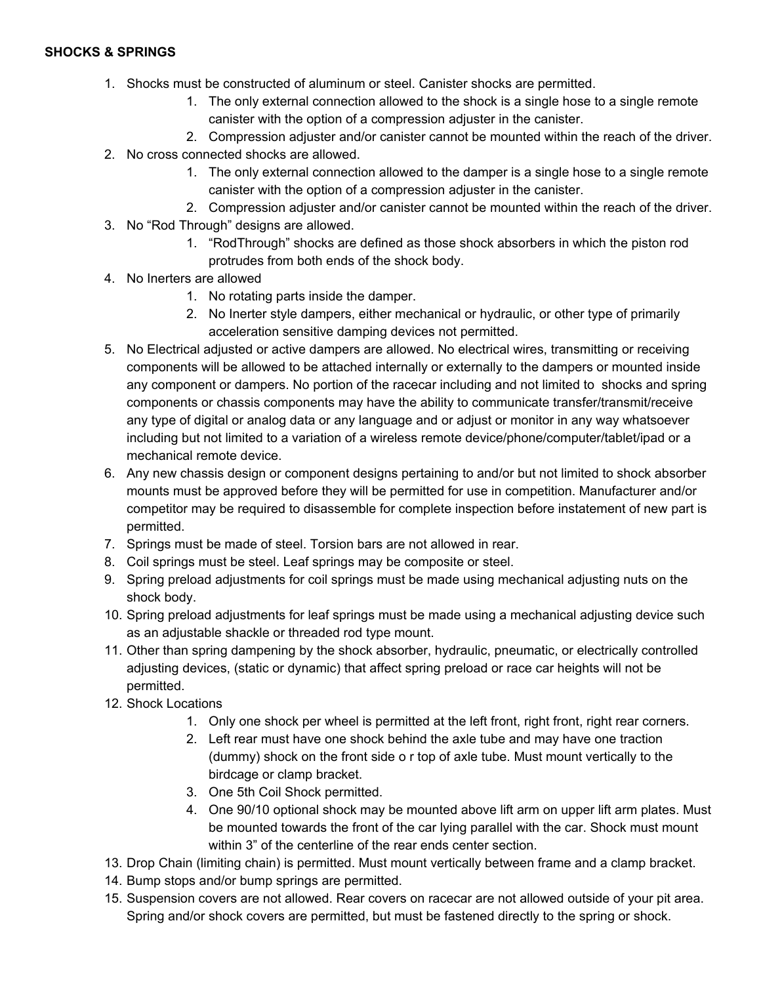#### **SHOCKS & SPRINGS**

- 1. Shocks must be constructed of aluminum or steel. Canister shocks are permitted.
	- 1. The only external connection allowed to the shock is a single hose to a single remote canister with the option of a compression adjuster in the canister.
	- 2. Compression adjuster and/or canister cannot be mounted within the reach of the driver.
- 2. No cross connected shocks are allowed.
	- 1. The only external connection allowed to the damper is a single hose to a single remote canister with the option of a compression adjuster in the canister.
	- 2. Compression adjuster and/or canister cannot be mounted within the reach of the driver.
- 3. No "Rod Through" designs are allowed.
	- 1. "RodThrough" shocks are defined as those shock absorbers in which the piston rod protrudes from both ends of the shock body.
- 4. No Inerters are allowed
	- 1. No rotating parts inside the damper.
	- 2. No Inerter style dampers, either mechanical or hydraulic, or other type of primarily acceleration sensitive damping devices not permitted.
- 5. No Electrical adjusted or active dampers are allowed. No electrical wires, transmitting or receiving components will be allowed to be attached internally or externally to the dampers or mounted inside any component or dampers. No portion of the racecar including and not limited to shocks and spring components or chassis components may have the ability to communicate transfer/transmit/receive any type of digital or analog data or any language and or adjust or monitor in any way whatsoever including but not limited to a variation of a wireless remote device/phone/computer/tablet/ipad or a mechanical remote device.
- 6. Any new chassis design or component designs pertaining to and/or but not limited to shock absorber mounts must be approved before they will be permitted for use in competition. Manufacturer and/or competitor may be required to disassemble for complete inspection before instatement of new part is permitted.
- 7. Springs must be made of steel. Torsion bars are not allowed in rear.
- 8. Coil springs must be steel. Leaf springs may be composite or steel.
- 9. Spring preload adjustments for coil springs must be made using mechanical adjusting nuts on the shock body.
- 10. Spring preload adjustments for leaf springs must be made using a mechanical adjusting device such as an adjustable shackle or threaded rod type mount.
- 11. Other than spring dampening by the shock absorber, hydraulic, pneumatic, or electrically controlled adjusting devices, (static or dynamic) that affect spring preload or race car heights will not be permitted.
- 12. Shock Locations
	- 1. Only one shock per wheel is permitted at the left front, right front, right rear corners.
	- 2. Left rear must have one shock behind the axle tube and may have one traction (dummy) shock on the front side o r top of axle tube. Must mount vertically to the birdcage or clamp bracket.
	- 3. One 5th Coil Shock permitted.
	- 4. One 90/10 optional shock may be mounted above lift arm on upper lift arm plates. Must be mounted towards the front of the car lying parallel with the car. Shock must mount within 3" of the centerline of the rear ends center section.
- 13. Drop Chain (limiting chain) is permitted. Must mount vertically between frame and a clamp bracket.
- 14. Bump stops and/or bump springs are permitted.
- 15. Suspension covers are not allowed. Rear covers on racecar are not allowed outside of your pit area. Spring and/or shock covers are permitted, but must be fastened directly to the spring or shock.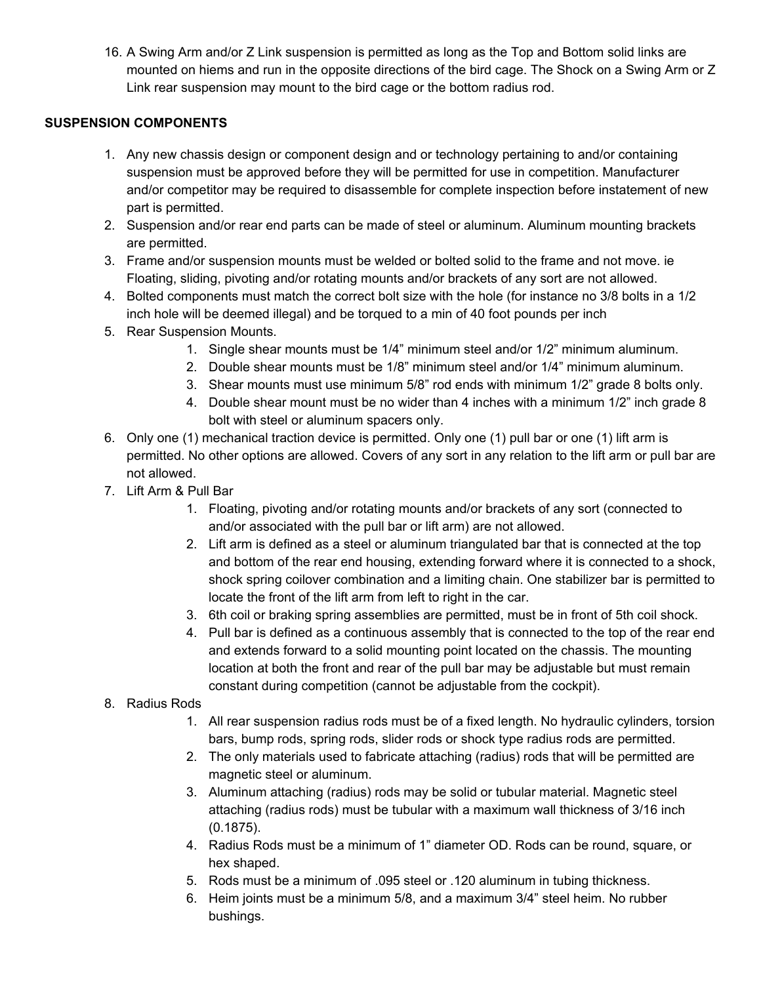16. A Swing Arm and/or Z Link suspension is permitted as long as the Top and Bottom solid links are mounted on hiems and run in the opposite directions of the bird cage. The Shock on a Swing Arm or Z Link rear suspension may mount to the bird cage or the bottom radius rod.

## **SUSPENSION COMPONENTS**

- 1. Any new chassis design or component design and or technology pertaining to and/or containing suspension must be approved before they will be permitted for use in competition. Manufacturer and/or competitor may be required to disassemble for complete inspection before instatement of new part is permitted.
- 2. Suspension and/or rear end parts can be made of steel or aluminum. Aluminum mounting brackets are permitted.
- 3. Frame and/or suspension mounts must be welded or bolted solid to the frame and not move. ie Floating, sliding, pivoting and/or rotating mounts and/or brackets of any sort are not allowed.
- 4. Bolted components must match the correct bolt size with the hole (for instance no 3/8 bolts in a 1/2 inch hole will be deemed illegal) and be torqued to a min of 40 foot pounds per inch
- 5. Rear Suspension Mounts.
	- 1. Single shear mounts must be 1/4" minimum steel and/or 1/2" minimum aluminum.
	- 2. Double shear mounts must be 1/8" minimum steel and/or 1/4" minimum aluminum.
	- 3. Shear mounts must use minimum 5/8" rod ends with minimum 1/2" grade 8 bolts only.
	- 4. Double shear mount must be no wider than 4 inches with a minimum 1/2" inch grade 8 bolt with steel or aluminum spacers only.
- 6. Only one (1) mechanical traction device is permitted. Only one (1) pull bar or one (1) lift arm is permitted. No other options are allowed. Covers of any sort in any relation to the lift arm or pull bar are not allowed.
- 7. Lift Arm & Pull Bar
	- 1. Floating, pivoting and/or rotating mounts and/or brackets of any sort (connected to and/or associated with the pull bar or lift arm) are not allowed.
	- 2. Lift arm is defined as a steel or aluminum triangulated bar that is connected at the top and bottom of the rear end housing, extending forward where it is connected to a shock, shock spring coilover combination and a limiting chain. One stabilizer bar is permitted to locate the front of the lift arm from left to right in the car.
	- 3. 6th coil or braking spring assemblies are permitted, must be in front of 5th coil shock.
	- 4. Pull bar is defined as a continuous assembly that is connected to the top of the rear end and extends forward to a solid mounting point located on the chassis. The mounting location at both the front and rear of the pull bar may be adjustable but must remain constant during competition (cannot be adjustable from the cockpit).
- 8. Radius Rods
	- 1. All rear suspension radius rods must be of a fixed length. No hydraulic cylinders, torsion bars, bump rods, spring rods, slider rods or shock type radius rods are permitted.
	- 2. The only materials used to fabricate attaching (radius) rods that will be permitted are magnetic steel or aluminum.
	- 3. Aluminum attaching (radius) rods may be solid or tubular material. Magnetic steel attaching (radius rods) must be tubular with a maximum wall thickness of 3/16 inch (0.1875).
	- 4. Radius Rods must be a minimum of 1" diameter OD. Rods can be round, square, or hex shaped.
	- 5. Rods must be a minimum of .095 steel or .120 aluminum in tubing thickness.
	- 6. Heim joints must be a minimum 5/8, and a maximum 3/4" steel heim. No rubber bushings.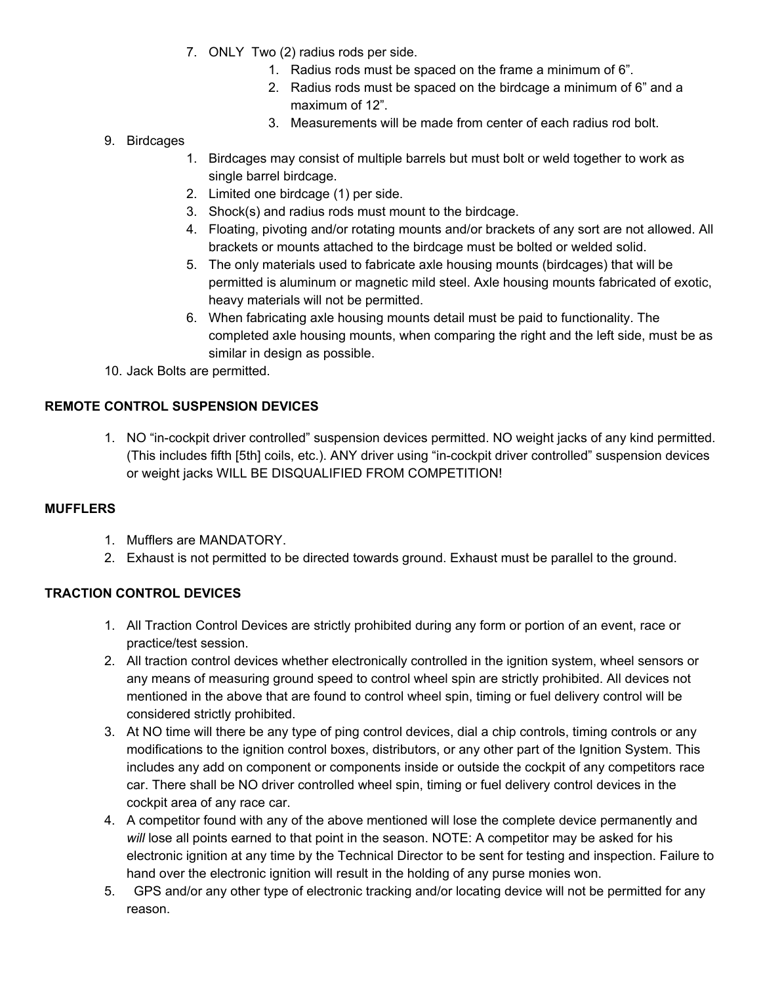- 7. ONLY Two (2) radius rods per side.
	- 1. Radius rods must be spaced on the frame a minimum of 6".
	- 2. Radius rods must be spaced on the birdcage a minimum of 6" and a maximum of 12".
	- 3. Measurements will be made from center of each radius rod bolt.
- 9. Birdcages
	- 1. Birdcages may consist of multiple barrels but must bolt or weld together to work as single barrel birdcage.
	- 2. Limited one birdcage (1) per side.
	- 3. Shock(s) and radius rods must mount to the birdcage.
	- 4. Floating, pivoting and/or rotating mounts and/or brackets of any sort are not allowed. All brackets or mounts attached to the birdcage must be bolted or welded solid.
	- 5. The only materials used to fabricate axle housing mounts (birdcages) that will be permitted is aluminum or magnetic mild steel. Axle housing mounts fabricated of exotic, heavy materials will not be permitted.
	- 6. When fabricating axle housing mounts detail must be paid to functionality. The completed axle housing mounts, when comparing the right and the left side, must be as similar in design as possible.
- 10. Jack Bolts are permitted.

## **REMOTE CONTROL SUSPENSION DEVICES**

1. NO "in-cockpit driver controlled" suspension devices permitted. NO weight jacks of any kind permitted. (This includes fifth [5th] coils, etc.). ANY driver using "in-cockpit driver controlled" suspension devices or weight jacks WILL BE DISQUALIFIED FROM COMPETITION!

### **MUFFLERS**

- 1. Mufflers are MANDATORY.
- 2. Exhaust is not permitted to be directed towards ground. Exhaust must be parallel to the ground.

### **TRACTION CONTROL DEVICES**

- 1. All Traction Control Devices are strictly prohibited during any form or portion of an event, race or practice/test session.
- 2. All traction control devices whether electronically controlled in the ignition system, wheel sensors or any means of measuring ground speed to control wheel spin are strictly prohibited. All devices not mentioned in the above that are found to control wheel spin, timing or fuel delivery control will be considered strictly prohibited.
- 3. At NO time will there be any type of ping control devices, dial a chip controls, timing controls or any modifications to the ignition control boxes, distributors, or any other part of the Ignition System. This includes any add on component or components inside or outside the cockpit of any competitors race car. There shall be NO driver controlled wheel spin, timing or fuel delivery control devices in the cockpit area of any race car.
- 4. A competitor found with any of the above mentioned will lose the complete device permanently and *will* lose all points earned to that point in the season. NOTE: A competitor may be asked for his electronic ignition at any time by the Technical Director to be sent for testing and inspection. Failure to hand over the electronic ignition will result in the holding of any purse monies won.
- 5. GPS and/or any other type of electronic tracking and/or locating device will not be permitted for any reason.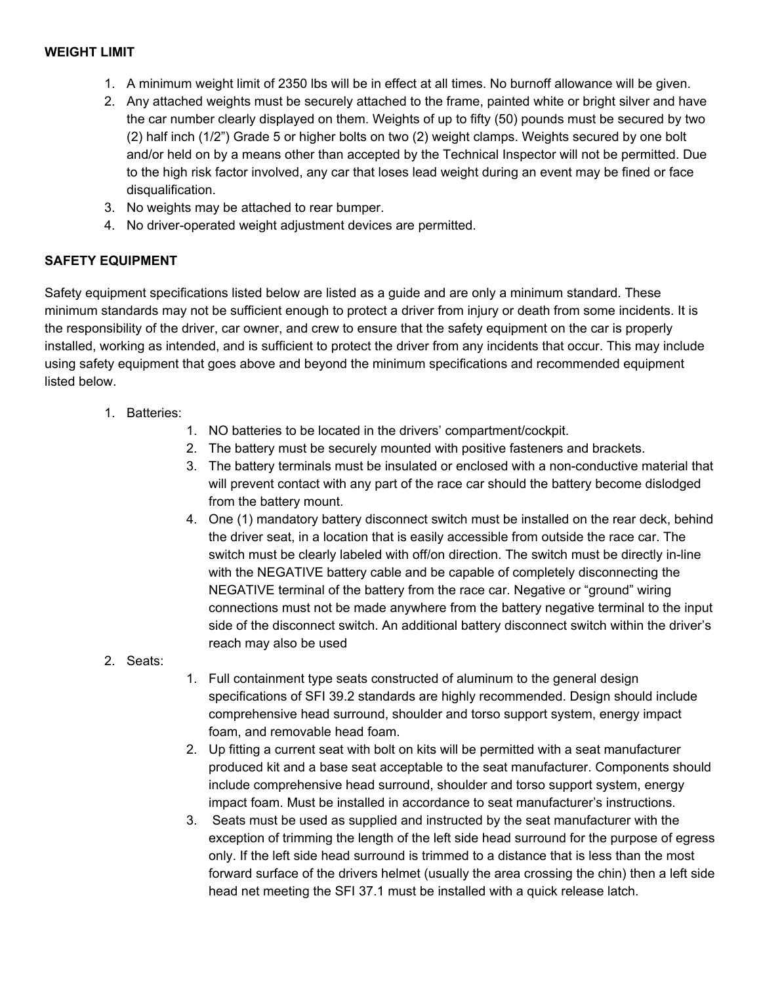- 1. A minimum weight limit of 2350 lbs will be in effect at all times. No burnoff allowance will be given.
- 2. Any attached weights must be securely attached to the frame, painted white or bright silver and have the car number clearly displayed on them. Weights of up to fifty (50) pounds must be secured by two (2) half inch (1/2") Grade 5 or higher bolts on two (2) weight clamps. Weights secured by one bolt and/or held on by a means other than accepted by the Technical Inspector will not be permitted. Due to the high risk factor involved, any car that loses lead weight during an event may be fined or face disqualification.
- 3. No weights may be attached to rear bumper.
- 4. No driver-operated weight adjustment devices are permitted.

## **SAFETY EQUIPMENT**

Safety equipment specifications listed below are listed as a guide and are only a minimum standard. These minimum standards may not be sufficient enough to protect a driver from injury or death from some incidents. It is the responsibility of the driver, car owner, and crew to ensure that the safety equipment on the car is properly installed, working as intended, and is sufficient to protect the driver from any incidents that occur. This may include using safety equipment that goes above and beyond the minimum specifications and recommended equipment listed below.

- 1. Batteries:
	- 1. NO batteries to be located in the drivers' compartment/cockpit.
	- 2. The battery must be securely mounted with positive fasteners and brackets.
	- 3. The battery terminals must be insulated or enclosed with a non-conductive material that will prevent contact with any part of the race car should the battery become dislodged from the battery mount.
	- 4. One (1) mandatory battery disconnect switch must be installed on the rear deck, behind the driver seat, in a location that is easily accessible from outside the race car. The switch must be clearly labeled with off/on direction. The switch must be directly in-line with the NEGATIVE battery cable and be capable of completely disconnecting the NEGATIVE terminal of the battery from the race car. Negative or "ground" wiring connections must not be made anywhere from the battery negative terminal to the input side of the disconnect switch. An additional battery disconnect switch within the driver's reach may also be used
- 2. Seats:
- 1. Full containment type seats constructed of aluminum to the general design specifications of SFI 39.2 standards are highly recommended. Design should include comprehensive head surround, shoulder and torso support system, energy impact foam, and removable head foam.
- 2. Up fitting a current seat with bolt on kits will be permitted with a seat manufacturer produced kit and a base seat acceptable to the seat manufacturer. Components should include comprehensive head surround, shoulder and torso support system, energy impact foam. Must be installed in accordance to seat manufacturer's instructions.
- 3. Seats must be used as supplied and instructed by the seat manufacturer with the exception of trimming the length of the left side head surround for the purpose of egress only. If the left side head surround is trimmed to a distance that is less than the most forward surface of the drivers helmet (usually the area crossing the chin) then a left side head net meeting the SFI 37.1 must be installed with a quick release latch.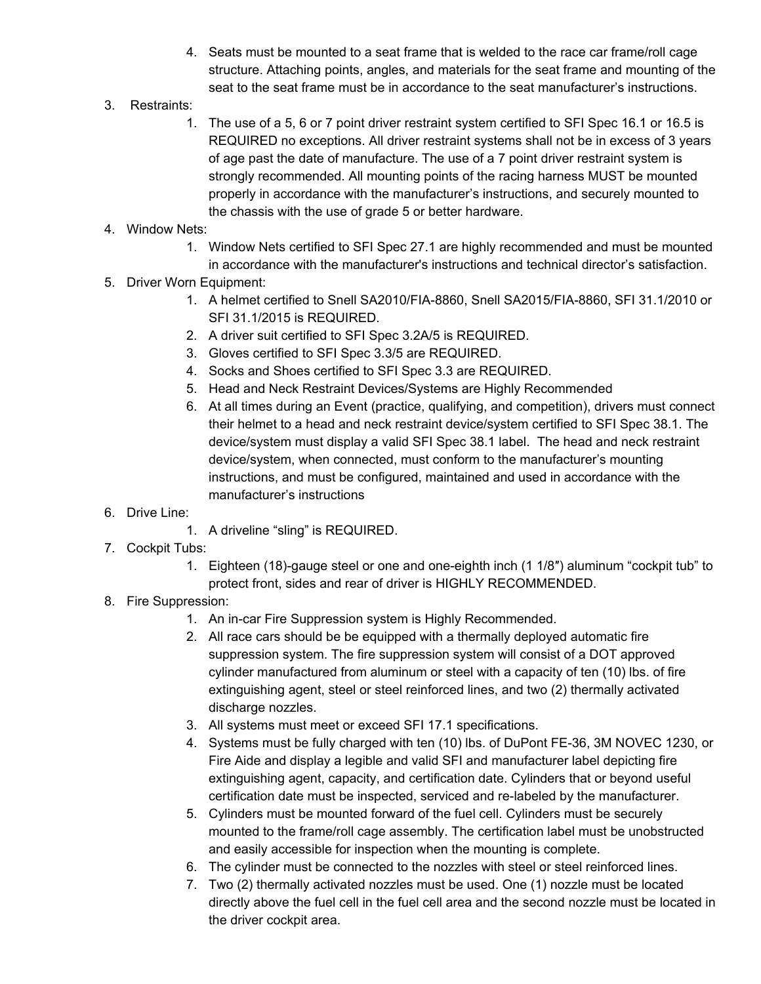- 4. Seats must be mounted to a seat frame that is welded to the race car frame/roll cage structure. Attaching points, angles, and materials for the seat frame and mounting of the seat to the seat frame must be in accordance to the seat manufacturer's instructions.
- 3. Restraints:
	- 1. The use of a 5, 6 or 7 point driver restraint system certified to SFI Spec 16.1 or 16.5 is REQUIRED no exceptions. All driver restraint systems shall not be in excess of 3 years of age past the date of manufacture. The use of a 7 point driver restraint system is strongly recommended. All mounting points of the racing harness MUST be mounted properly in accordance with the manufacturer's instructions, and securely mounted to the chassis with the use of grade 5 or better hardware.

# 4. Window Nets:

- 1. Window Nets certified to SFI Spec 27.1 are highly recommended and must be mounted
- in accordance with the manufacturer's instructions and technical director's satisfaction.
- 5. Driver Worn Equipment:
	- 1. A helmet certified to Snell SA2010/FIA-8860, Snell SA2015/FIA-8860, SFI 31.1/2010 or SFI 31.1/2015 is REQUIRED.
	- 2. A driver suit certified to SFI Spec 3.2A/5 is REQUIRED.
	- 3. Gloves certified to SFI Spec 3.3/5 are REQUIRED.
	- 4. Socks and Shoes certified to SFI Spec 3.3 are REQUIRED.
	- 5. Head and Neck Restraint Devices/Systems are Highly Recommended
	- 6. At all times during an Event (practice, qualifying, and competition), drivers must connect their helmet to a head and neck restraint device/system certified to SFI Spec 38.1. The device/system must display a valid SFI Spec 38.1 label. The head and neck restraint device/system, when connected, must conform to the manufacturer's mounting instructions, and must be configured, maintained and used in accordance with the manufacturer's instructions
- 6. Drive Line:
	- 1. A driveline "sling" is REQUIRED.
- 7. Cockpit Tubs:
	- 1. Eighteen (18)-gauge steel or one and one-eighth inch (1 1/8″) aluminum "cockpit tub" to protect front, sides and rear of driver is HIGHLY RECOMMENDED.
- 8. Fire Suppression:
	- 1. An in-car Fire Suppression system is Highly Recommended.
	- 2. All race cars should be be equipped with a thermally deployed automatic fire suppression system. The fire suppression system will consist of a DOT approved cylinder manufactured from aluminum or steel with a capacity of ten (10) lbs. of fire extinguishing agent, steel or steel reinforced lines, and two (2) thermally activated discharge nozzles.
	- 3. All systems must meet or exceed SFI 17.1 specifications.
	- 4. Systems must be fully charged with ten (10) lbs. of DuPont FE-36, 3M NOVEC 1230, or Fire Aide and display a legible and valid SFI and manufacturer label depicting fire extinguishing agent, capacity, and certification date. Cylinders that or beyond useful certification date must be inspected, serviced and re-labeled by the manufacturer.
	- 5. Cylinders must be mounted forward of the fuel cell. Cylinders must be securely mounted to the frame/roll cage assembly. The certification label must be unobstructed and easily accessible for inspection when the mounting is complete.
	- 6. The cylinder must be connected to the nozzles with steel or steel reinforced lines.
	- 7. Two (2) thermally activated nozzles must be used. One (1) nozzle must be located directly above the fuel cell in the fuel cell area and the second nozzle must be located in the driver cockpit area.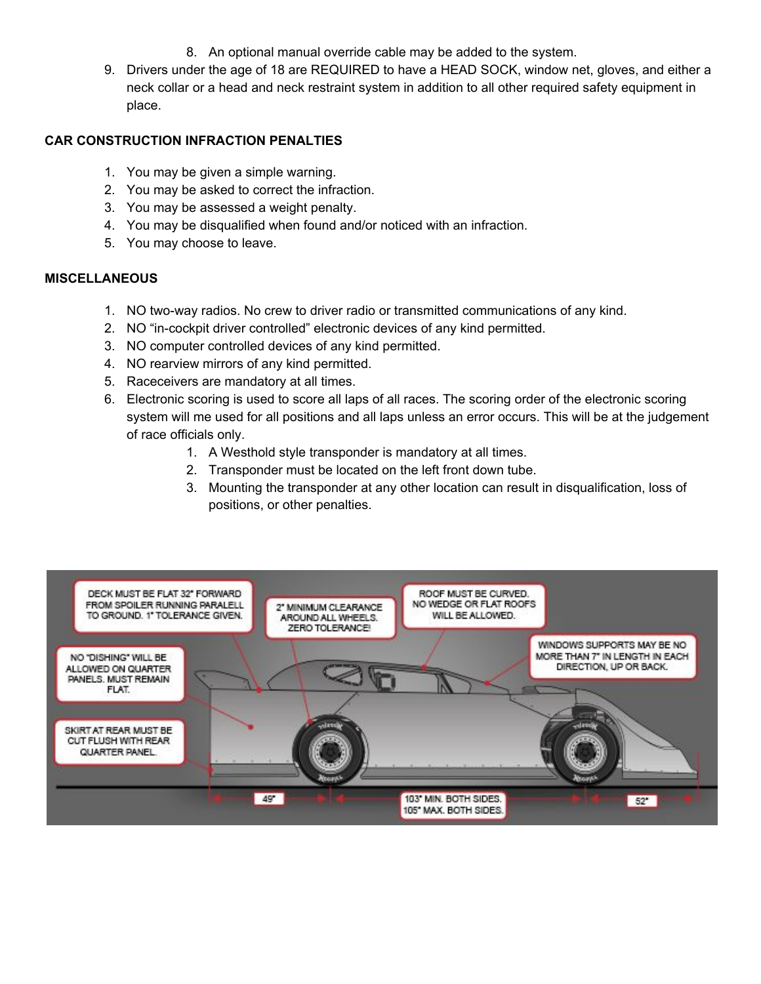- 8. An optional manual override cable may be added to the system.
- 9. Drivers under the age of 18 are REQUIRED to have a HEAD SOCK, window net, gloves, and either a neck collar or a head and neck restraint system in addition to all other required safety equipment in place.

### **CAR CONSTRUCTION INFRACTION PENALTIES**

- 1. You may be given a simple warning.
- 2. You may be asked to correct the infraction.
- 3. You may be assessed a weight penalty.
- 4. You may be disqualified when found and/or noticed with an infraction.
- 5. You may choose to leave.

#### **MISCELLANEOUS**

- 1. NO two-way radios. No crew to driver radio or transmitted communications of any kind.
- 2. NO "in-cockpit driver controlled" electronic devices of any kind permitted.
- 3. NO computer controlled devices of any kind permitted.
- 4. NO rearview mirrors of any kind permitted.
- 5. Raceceivers are mandatory at all times.
- 6. Electronic scoring is used to score all laps of all races. The scoring order of the electronic scoring system will me used for all positions and all laps unless an error occurs. This will be at the judgement of race officials only.
	- 1. A Westhold style transponder is mandatory at all times.
	- 2. Transponder must be located on the left front down tube.
	- 3. Mounting the transponder at any other location can result in disqualification, loss of positions, or other penalties.

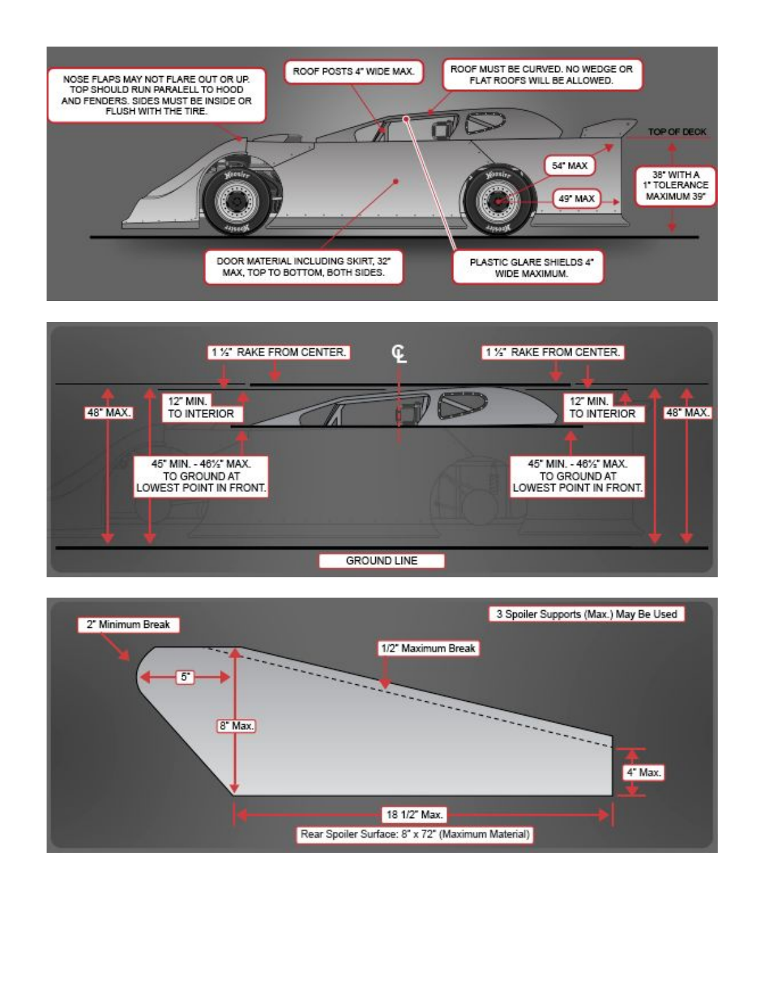